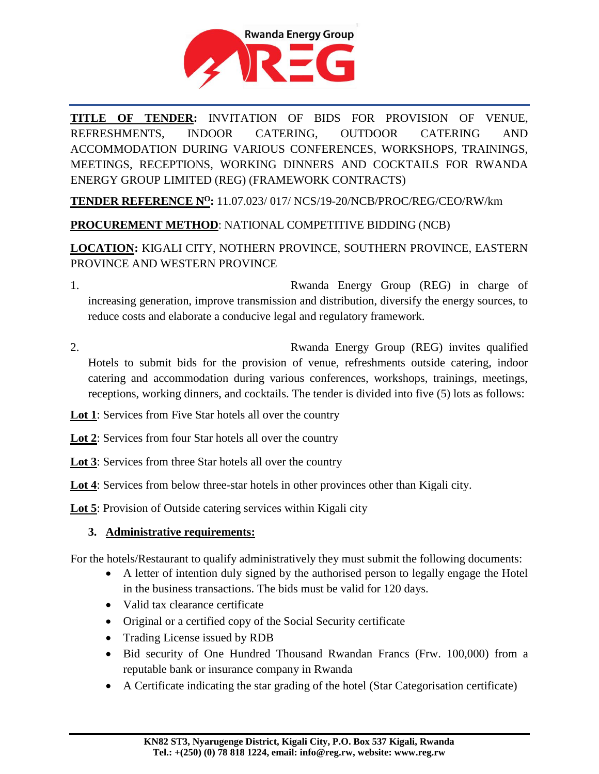

**TITLE OF TENDER:** INVITATION OF BIDS FOR PROVISION OF VENUE, REFRESHMENTS, INDOOR CATERING, OUTDOOR CATERING AND ACCOMMODATION DURING VARIOUS CONFERENCES, WORKSHOPS, TRAININGS, MEETINGS, RECEPTIONS, WORKING DINNERS AND COCKTAILS FOR RWANDA ENERGY GROUP LIMITED (REG) (FRAMEWORK CONTRACTS)

**TENDER REFERENCE N<sup>O</sup>:** 11.07.023/ 017/ NCS/19-20/NCB/PROC/REG/CEO/RW/km

# **PROCUREMENT METHOD**: NATIONAL COMPETITIVE BIDDING (NCB)

# **LOCATION:** KIGALI CITY, NOTHERN PROVINCE, SOUTHERN PROVINCE, EASTERN PROVINCE AND WESTERN PROVINCE

1. Rwanda Energy Group (REG) in charge of increasing generation, improve transmission and distribution, diversify the energy sources, to reduce costs and elaborate a conducive legal and regulatory framework.

- 2. Rwanda Energy Group (REG) invites qualified Hotels to submit bids for the provision of venue, refreshments outside catering, indoor catering and accommodation during various conferences, workshops, trainings, meetings, receptions, working dinners, and cocktails. The tender is divided into five (5) lots as follows:
- **Lot 1**: Services from Five Star hotels all over the country
- **Lot 2**: Services from four Star hotels all over the country
- **Lot 3**: Services from three Star hotels all over the country
- **Lot 4**: Services from below three-star hotels in other provinces other than Kigali city.

**Lot 5**: Provision of Outside catering services within Kigali city

# **3. Administrative requirements:**

For the hotels/Restaurant to qualify administratively they must submit the following documents:

- A letter of intention duly signed by the authorised person to legally engage the Hotel in the business transactions. The bids must be valid for 120 days.
- Valid tax clearance certificate
- Original or a certified copy of the Social Security certificate
- Trading License issued by RDB
- Bid security of One Hundred Thousand Rwandan Francs (Frw. 100,000) from a reputable bank or insurance company in Rwanda
- A Certificate indicating the star grading of the hotel (Star Categorisation certificate)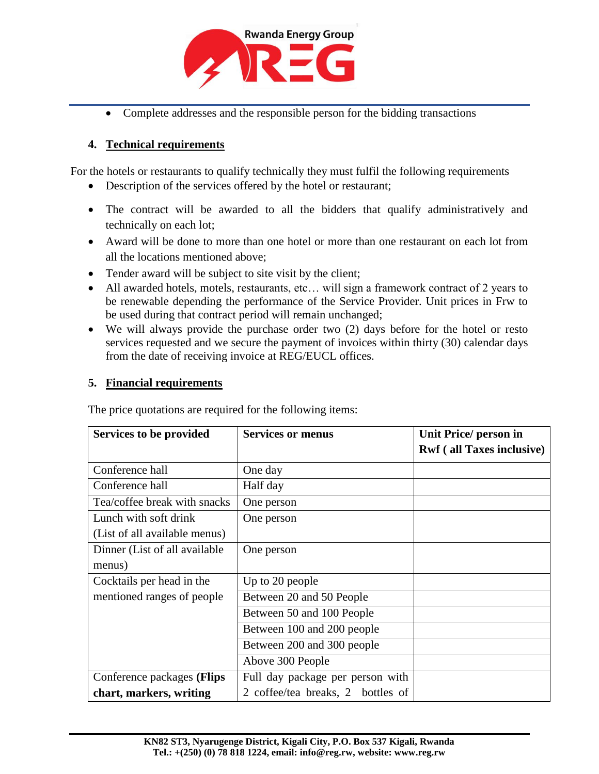

• Complete addresses and the responsible person for the bidding transactions

#### **4. Technical requirements**

For the hotels or restaurants to qualify technically they must fulfil the following requirements

- Description of the services offered by the hotel or restaurant;
- The contract will be awarded to all the bidders that qualify administratively and technically on each lot;
- Award will be done to more than one hotel or more than one restaurant on each lot from all the locations mentioned above;
- Tender award will be subject to site visit by the client;
- All awarded hotels, motels, restaurants, etc… will sign a framework contract of 2 years to be renewable depending the performance of the Service Provider. Unit prices in Frw to be used during that contract period will remain unchanged;
- We will always provide the purchase order two (2) days before for the hotel or resto services requested and we secure the payment of invoices within thirty (30) calendar days from the date of receiving invoice at REG/EUCL offices.

### **5. Financial requirements**

Services to be provided Services or menus Unit Price/ person in **Rwf ( all Taxes inclusive)** Conference hall Dne day Conference hall Half day Tea/coffee break with snacks | One person Lunch with soft drink (List of all available menus) One person Dinner (List of all available menus) One person Cocktails per head in the mentioned ranges of people Up to 20 people Between 20 and 50 People Between 50 and 100 People Between 100 and 200 people Between 200 and 300 people Above 300 People Conference packages **(Flips chart, markers, writing**  Full day package per person with 2 coffee/tea breaks, 2 bottles of

The price quotations are required for the following items: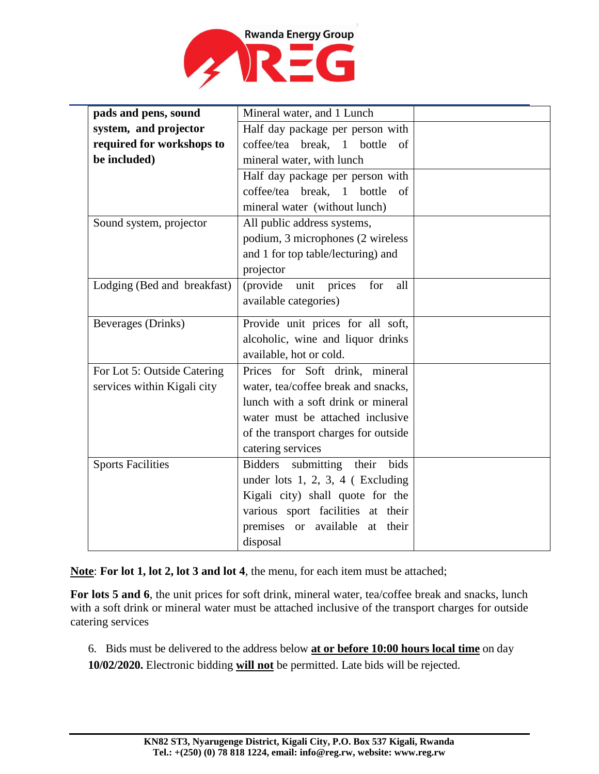

| pads and pens, sound        | Mineral water, and 1 Lunch                 |  |
|-----------------------------|--------------------------------------------|--|
| system, and projector       | Half day package per person with           |  |
| required for workshops to   | coffee/tea break, 1 bottle<br>of           |  |
| be included)                | mineral water, with lunch                  |  |
|                             | Half day package per person with           |  |
|                             | coffee/tea break, 1 bottle<br>of           |  |
|                             | mineral water (without lunch)              |  |
| Sound system, projector     | All public address systems,                |  |
|                             | podium, 3 microphones (2 wireless          |  |
|                             | and 1 for top table/lecturing) and         |  |
|                             | projector                                  |  |
| Lodging (Bed and breakfast) | prices<br>(provide unit<br>for<br>all      |  |
|                             | available categories)                      |  |
| Beverages (Drinks)          | Provide unit prices for all soft,          |  |
|                             | alcoholic, wine and liquor drinks          |  |
|                             | available, hot or cold.                    |  |
| For Lot 5: Outside Catering | Prices for Soft drink, mineral             |  |
| services within Kigali city | water, tea/coffee break and snacks,        |  |
|                             | lunch with a soft drink or mineral         |  |
|                             | water must be attached inclusive           |  |
|                             | of the transport charges for outside       |  |
|                             | catering services                          |  |
| <b>Sports Facilities</b>    | <b>Bidders</b><br>bids<br>submitting their |  |
|                             | under lots $1, 2, 3, 4$ (Excluding         |  |
|                             | Kigali city) shall quote for the           |  |
|                             | various sport facilities at their          |  |
|                             | premises or available<br>at their          |  |
|                             | disposal                                   |  |

**Note**: **For lot 1, lot 2, lot 3 and lot 4**, the menu, for each item must be attached;

**For lots 5 and 6**, the unit prices for soft drink, mineral water, tea/coffee break and snacks, lunch with a soft drink or mineral water must be attached inclusive of the transport charges for outside catering services

6. Bids must be delivered to the address below **at or before 10:00 hours local time** on day **10/02/2020.** Electronic bidding **will not** be permitted. Late bids will be rejected.